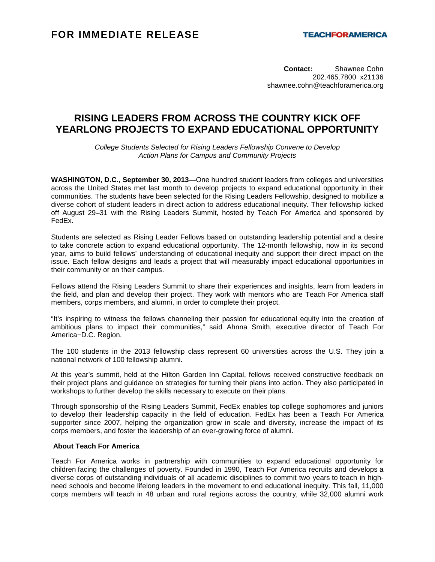**Contact:** Shawnee Cohn 202.465.7800 x21136 shawnee.cohn@teachforamerica.org

## **RISING LEADERS FROM ACROSS THE COUNTRY KICK OFF YEARLONG PROJECTS TO EXPAND EDUCATIONAL OPPORTUNITY**

College Students Selected for Rising Leaders Fellowship Convene to Develop Action Plans for Campus and Community Projects

**WASHINGTON, D.C., September 30, 2013**—One hundred student leaders from colleges and universities across the United States met last month to develop projects to expand educational opportunity in their communities. The students have been selected for the Rising Leaders Fellowship, designed to mobilize a diverse cohort of student leaders in direct action to address educational inequity. Their fellowship kicked off August 29–31 with the Rising Leaders Summit, hosted by Teach For America and sponsored by FedEx.

Students are selected as Rising Leader Fellows based on outstanding leadership potential and a desire to take concrete action to expand educational opportunity. The 12-month fellowship, now in its second year, aims to build fellows' understanding of educational inequity and support their direct impact on the issue. Each fellow designs and leads a project that will measurably impact educational opportunities in their community or on their campus.

Fellows attend the Rising Leaders Summit to share their experiences and insights, learn from leaders in the field, and plan and develop their project. They work with mentors who are Teach For America staff members, corps members, and alumni, in order to complete their project.

"It's inspiring to witness the fellows channeling their passion for educational equity into the creation of ambitious plans to impact their communities," said Ahnna Smith, executive director of Teach For America−D.C. Region.

The 100 students in the 2013 fellowship class represent 60 universities across the U.S. They join a national network of 100 fellowship alumni.

At this year's summit, held at the Hilton Garden Inn Capital, fellows received constructive feedback on their project plans and guidance on strategies for turning their plans into action. They also participated in workshops to further develop the skills necessary to execute on their plans.

Through sponsorship of the Rising Leaders Summit, FedEx enables top college sophomores and juniors to develop their leadership capacity in the field of education. FedEx has been a Teach For America supporter since 2007, helping the organization grow in scale and diversity, increase the impact of its corps members, and foster the leadership of an ever-growing force of alumni.

## **About Teach For America**

Teach For America works in partnership with communities to expand educational opportunity for children facing the challenges of poverty. Founded in 1990, Teach For America recruits and develops a diverse corps of outstanding individuals of all academic disciplines to commit two years to teach in highneed schools and become lifelong leaders in the movement to end educational inequity. This fall, 11,000 corps members will teach in 48 urban and rural regions across the country, while 32,000 alumni work